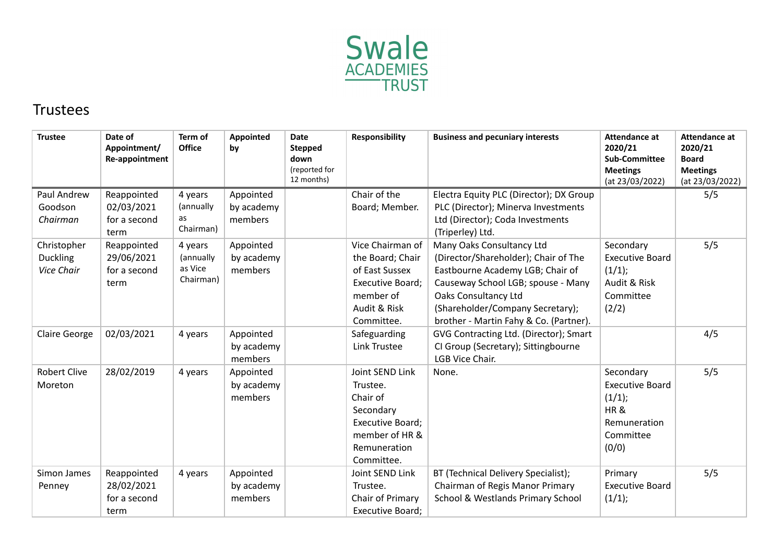

## Trustees

| <b>Trustee</b>                               | Date of<br>Appointment/<br>Re-appointment         | Term of<br><b>Office</b>                     | <b>Appointed</b><br>by             | <b>Date</b><br><b>Stepped</b><br>down<br>(reported for<br>12 months) | <b>Responsibility</b>                                                                                                    | <b>Business and pecuniary interests</b>                                                                                                                                                                                                           | <b>Attendance at</b><br>2020/21<br><b>Sub-Committee</b><br><b>Meetings</b><br>(at 23/03/2022) | <b>Attendance at</b><br>2020/21<br><b>Board</b><br><b>Meetings</b><br>(at 23/03/2022) |
|----------------------------------------------|---------------------------------------------------|----------------------------------------------|------------------------------------|----------------------------------------------------------------------|--------------------------------------------------------------------------------------------------------------------------|---------------------------------------------------------------------------------------------------------------------------------------------------------------------------------------------------------------------------------------------------|-----------------------------------------------------------------------------------------------|---------------------------------------------------------------------------------------|
| Paul Andrew<br>Goodson<br>Chairman           | Reappointed<br>02/03/2021<br>for a second<br>term | 4 years<br>(annually<br>as<br>Chairman)      | Appointed<br>by academy<br>members |                                                                      | Chair of the<br>Board; Member.                                                                                           | Electra Equity PLC (Director); DX Group<br>PLC (Director); Minerva Investments<br>Ltd (Director); Coda Investments<br>(Triperley) Ltd.                                                                                                            |                                                                                               | 5/5                                                                                   |
| Christopher<br><b>Duckling</b><br>Vice Chair | Reappointed<br>29/06/2021<br>for a second<br>term | 4 years<br>(annually<br>as Vice<br>Chairman) | Appointed<br>by academy<br>members |                                                                      | Vice Chairman of<br>the Board; Chair<br>of East Sussex<br>Executive Board;<br>member of<br>Audit & Risk<br>Committee.    | Many Oaks Consultancy Ltd<br>(Director/Shareholder); Chair of The<br>Eastbourne Academy LGB; Chair of<br>Causeway School LGB; spouse - Many<br>Oaks Consultancy Ltd<br>(Shareholder/Company Secretary);<br>brother - Martin Fahy & Co. (Partner). | Secondary<br><b>Executive Board</b><br>(1/1);<br>Audit & Risk<br>Committee<br>(2/2)           | 5/5                                                                                   |
| <b>Claire George</b>                         | 02/03/2021                                        | 4 years                                      | Appointed<br>by academy<br>members |                                                                      | Safeguarding<br>Link Trustee                                                                                             | GVG Contracting Ltd. (Director); Smart<br>CI Group (Secretary); Sittingbourne<br>LGB Vice Chair.                                                                                                                                                  |                                                                                               | 4/5                                                                                   |
| <b>Robert Clive</b><br>Moreton               | 28/02/2019                                        | 4 years                                      | Appointed<br>by academy<br>members |                                                                      | Joint SEND Link<br>Trustee.<br>Chair of<br>Secondary<br>Executive Board;<br>member of HR &<br>Remuneration<br>Committee. | None.                                                                                                                                                                                                                                             | Secondary<br><b>Executive Board</b><br>(1/1);<br>HR&<br>Remuneration<br>Committee<br>(0/0)    | 5/5                                                                                   |
| Simon James<br>Penney                        | Reappointed<br>28/02/2021<br>for a second<br>term | 4 years                                      | Appointed<br>by academy<br>members |                                                                      | Joint SEND Link<br>Trustee.<br>Chair of Primary<br>Executive Board;                                                      | BT (Technical Delivery Specialist);<br>Chairman of Regis Manor Primary<br>School & Westlands Primary School                                                                                                                                       | Primary<br><b>Executive Board</b><br>(1/1);                                                   | 5/5                                                                                   |